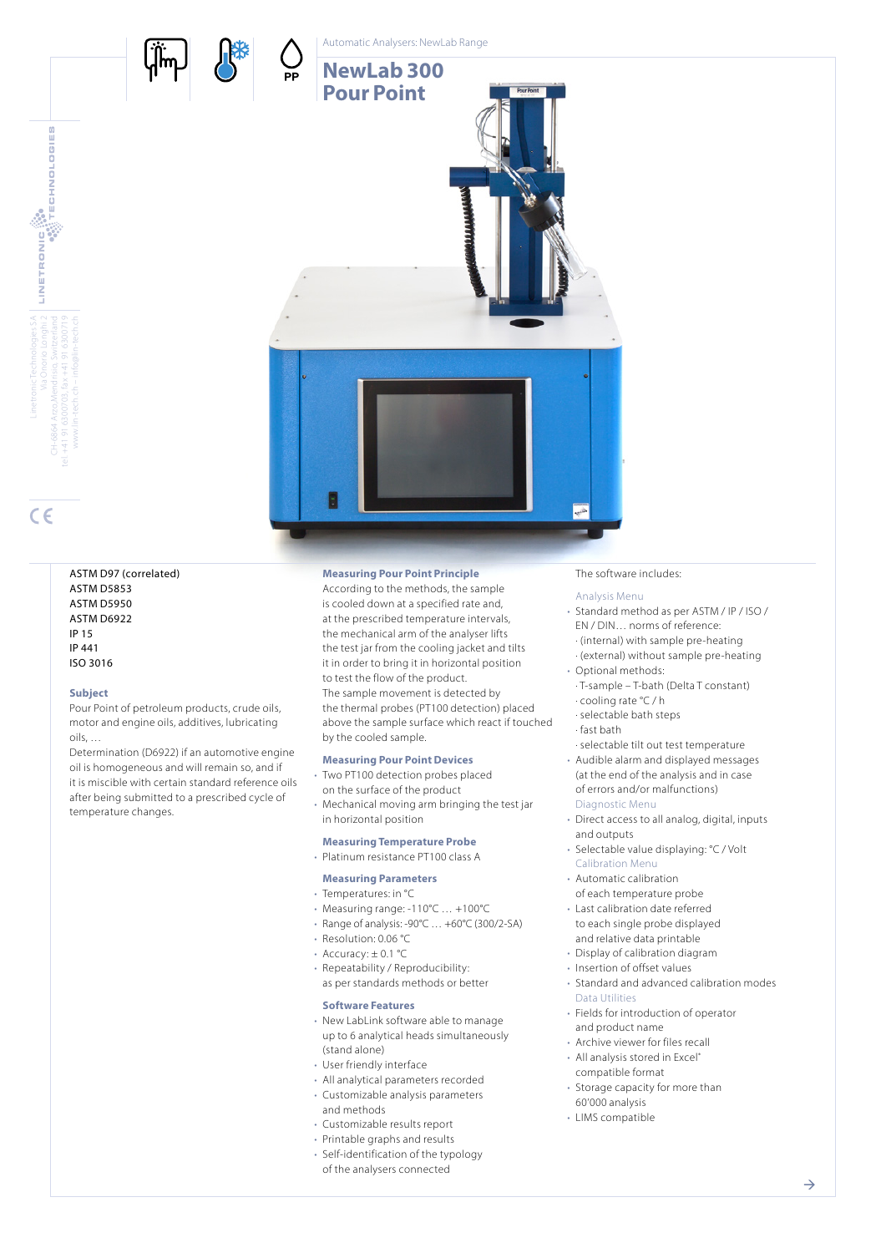

Linetronic Technologies SA Via Onorio Longhi 2

LINETRONIC

CH-6864 Arzo,Mendrisio, Switzerland tel. +41 91 6300703, fax +41 91 6300719 www.lin-tech.ch – info@lin-tech.ch

**ECHNOLOGIES** 

## ASTM D97 (correlated) ASTM D5853 ASTM D5950 ASTM D6922  $ID 15$ IP 441 ISO 3016

#### **Subject**

Pour Point of petroleum products, crude oils, motor and engine oils, additives, lubricating oils, …

Determination (D6922) if an automotive engine oil is homogeneous and will remain so, and if it is miscible with certain standard reference oils after being submitted to a prescribed cycle of temperature changes.

# **Measuring Pour Point Principle**

According to the methods, the sample is cooled down at a specified rate and, at the prescribed temperature intervals, the mechanical arm of the analyser lifts the test jar from the cooling jacket and tilts it in order to bring it in horizontal position to test the flow of the product. The sample movement is detected by the thermal probes (PT100 detection) placed above the sample surface which react if touched by the cooled sample.

# **Measuring Pour Point Devices**

- Two PT100 detection probes placed on the surface of the product
- Mechanical moving arm bringing the test jar in horizontal position

# **Measuring Temperature Probe**

# • Platinum resistance PT100 class A

# **Measuring Parameters**

- Temperatures: in °C
- Measuring range: -110°C … +100°C
- Range of analysis: -90°C … +60°C (300/2-SA)
- Resolution: 0.06 °C
- Accuracy:  $\pm$  0.1 °C
- Repeatability / Reproducibility:
- as per standards methods or better

# **Software Features**

- New LabLink software able to manage up to 6 analytical heads simultaneously (stand alone)
- User friendly interface
- All analytical parameters recorded
- Customizable analysis parameters and methods
- Customizable results report
- Printable graphs and results
- Self-identification of the typology of the analysers connected

#### The software includes:

## Analysis Menu

- Standard method as per ASTM / IP / ISO / EN / DIN… norms of reference: · (internal) with sample pre-heating
- · (external) without sample pre-heating • Optional methods:
- · T-sample T-bath (Delta T constant) · cooling rate °C / h
- · selectable bath steps

## · fast bath

- · selectable tilt out test temperature
- Audible alarm and displayed messages (at the end of the analysis and in case of errors and/or malfunctions) Diagnostic Menu
- Direct access to all analog, digital, inputs and outputs
- Selectable value displaying: °C / Volt Calibration Menu
- Automatic calibration of each temperature probe
- Last calibration date referred to each single probe displayed and relative data printable
- Display of calibration diagram
- Insertion of offset values
- Standard and advanced calibration modes Data Utilities
- Fields for introduction of operator and product name
- Archive viewer for files recall • All analysis stored in Excel®
- compatible format
- Storage capacity for more than 60'000 analysis
- LIMS compatible